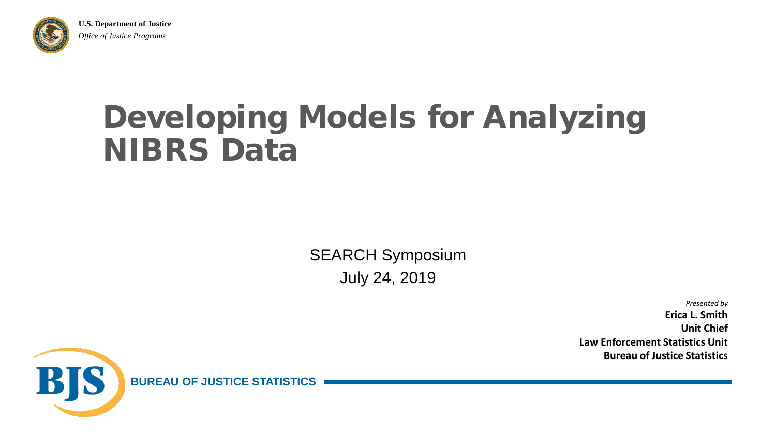

**U.S. Department of Justice** *Office of Justice Programs*

### Developing Models for Analyzing NIBRS Data

SEARCH Symposium July 24, 2019

> *Presented by* **Erica L. Smith Unit Chief Law Enforcement Statistics Unit Bureau of Justice Statistics**



**BUREAU OF JUSTICE STATISTICS**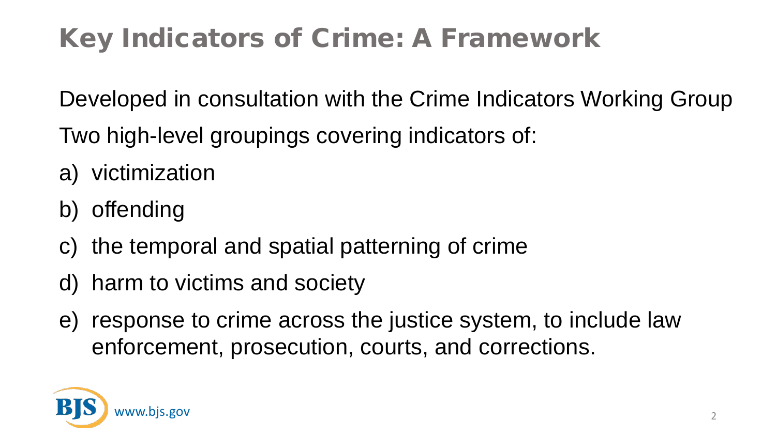#### Key Indicators of Crime: A Framework

Developed in consultation with the Crime Indicators Working Group

- Two high-level groupings covering indicators of:
- a) victimization
- b) offending
- c) the temporal and spatial patterning of crime
- d) harm to victims and society
- e) response to crime across the justice system, to include law enforcement, prosecution, courts, and corrections.

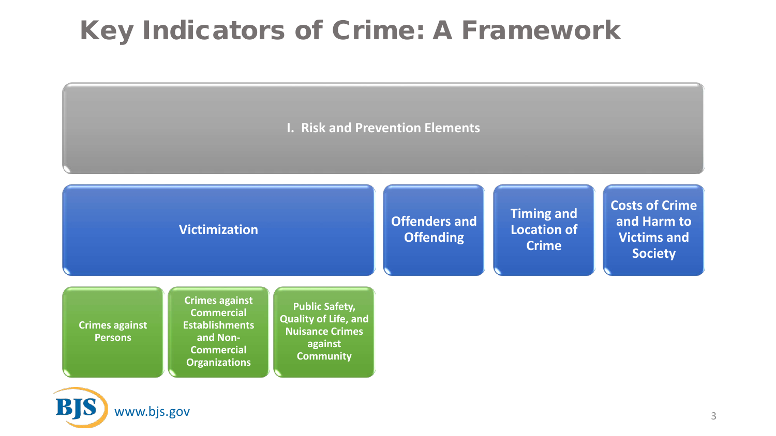#### Key Indicators of Crime: A Framework

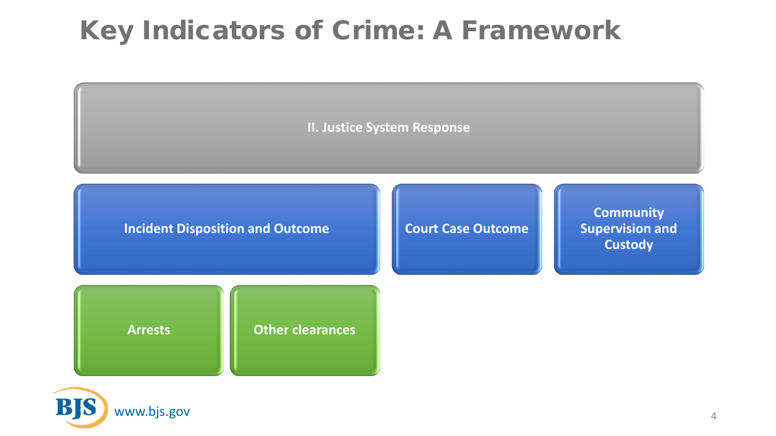#### Key Indicators of Crime: A Framework



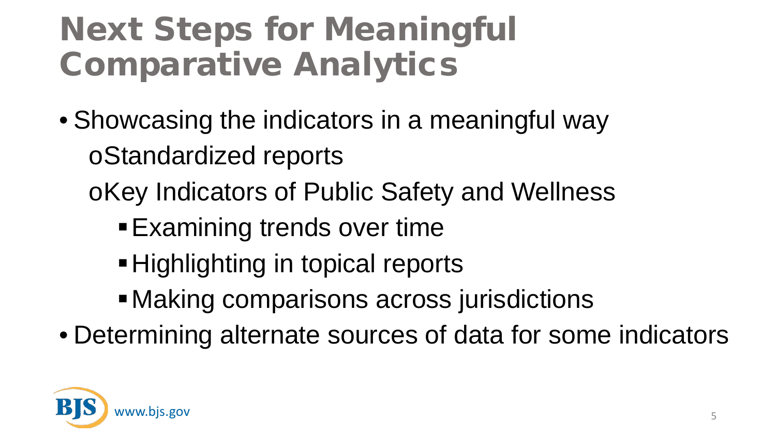## Next Steps for Meaningful Comparative Analytics

- Showcasing the indicators in a meaningful way oStandardized reports
	- oKey Indicators of Public Safety and Wellness
		- **Examining trends over time**
		- Highlighting in topical reports
		- Making comparisons across jurisdictions
- Determining alternate sources of data for some indicators